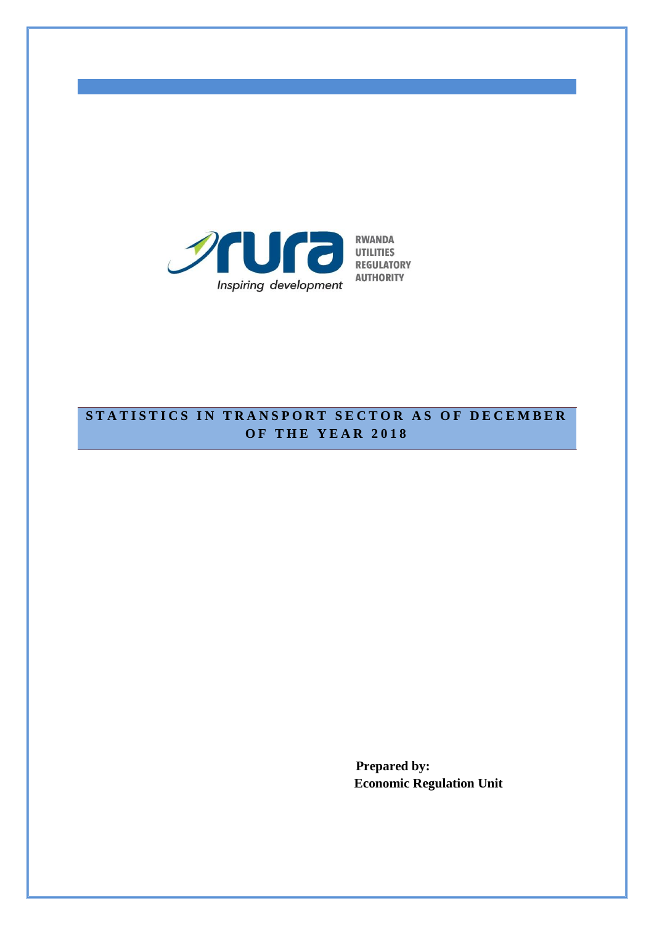

## **STATISTICS IN TRANSPORT SECTOR AS OF DECEMBER O F T H E Y E A R 201 8**

**Prepared by: Economic Regulation Unit**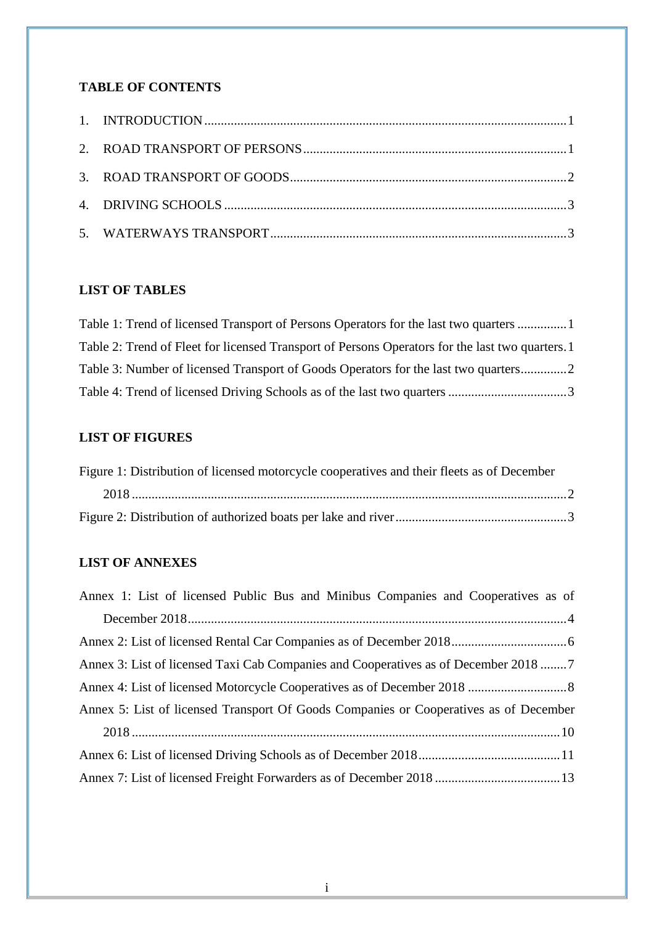## **TABLE OF CONTENTS**

## **LIST OF TABLES**

| Table 1: Trend of licensed Transport of Persons Operators for the last two quarters  1           |  |
|--------------------------------------------------------------------------------------------------|--|
| Table 2: Trend of Fleet for licensed Transport of Persons Operators for the last two quarters. 1 |  |
| Table 3: Number of licensed Transport of Goods Operators for the last two quarters2              |  |
|                                                                                                  |  |

### **LIST OF FIGURES**

| Figure 1: Distribution of licensed motorcycle cooperatives and their fleets as of December |  |
|--------------------------------------------------------------------------------------------|--|
|                                                                                            |  |
|                                                                                            |  |

## **LIST OF ANNEXES**

| Annex 1: List of licensed Public Bus and Minibus Companies and Cooperatives as of     |
|---------------------------------------------------------------------------------------|
|                                                                                       |
|                                                                                       |
| Annex 3: List of licensed Taxi Cab Companies and Cooperatives as of December 2018 7   |
|                                                                                       |
| Annex 5: List of licensed Transport Of Goods Companies or Cooperatives as of December |
|                                                                                       |
|                                                                                       |
|                                                                                       |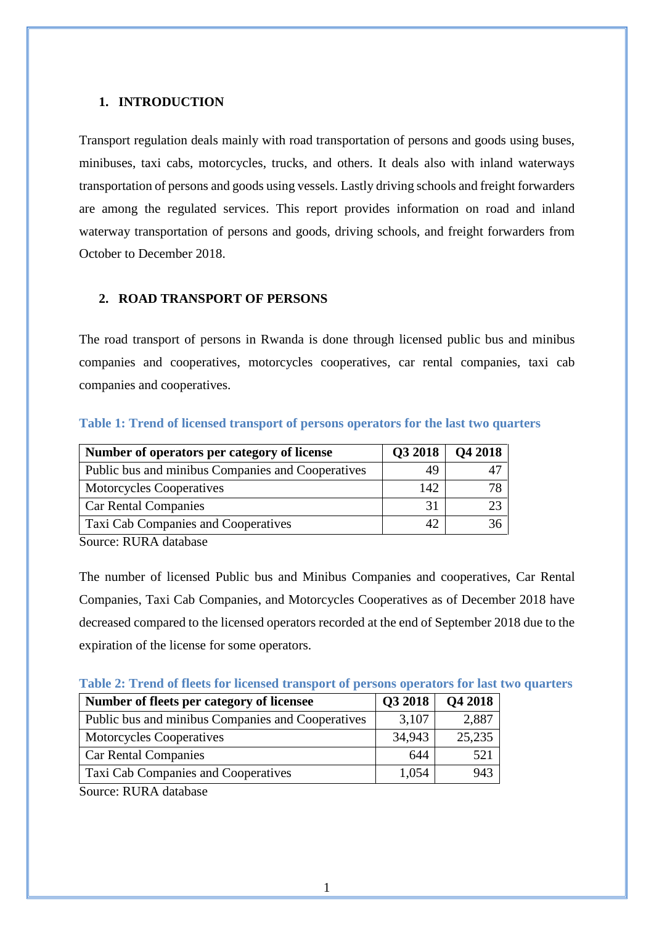#### <span id="page-2-0"></span>**1. INTRODUCTION**

Transport regulation deals mainly with road transportation of persons and goods using buses, minibuses, taxi cabs, motorcycles, trucks, and others. It deals also with inland waterways transportation of persons and goods using vessels. Lastly driving schools and freight forwarders are among the regulated services. This report provides information on road and inland waterway transportation of persons and goods, driving schools, and freight forwarders from October to December 2018.

### <span id="page-2-1"></span>**2. ROAD TRANSPORT OF PERSONS**

The road transport of persons in Rwanda is done through licensed public bus and minibus companies and cooperatives, motorcycles cooperatives, car rental companies, taxi cab companies and cooperatives.

| Number of operators per category of license       | Q3 2018 | <b>Q4 2018</b> |
|---------------------------------------------------|---------|----------------|
| Public bus and minibus Companies and Cooperatives | 49      |                |
| <b>Motorcycles Cooperatives</b>                   | 142     | 78             |
| <b>Car Rental Companies</b>                       | 31      |                |
| Taxi Cab Companies and Cooperatives               |         |                |

#### <span id="page-2-2"></span>**Table 1: Trend of licensed transport of persons operators for the last two quarters**

Source: RURA database

The number of licensed Public bus and Minibus Companies and cooperatives, Car Rental Companies, Taxi Cab Companies, and Motorcycles Cooperatives as of December 2018 have decreased compared to the licensed operators recorded at the end of September 2018 due to the expiration of the license for some operators.

<span id="page-2-3"></span>

| Table 2: Trend of fleets for licensed transport of persons operators for last two quarters |
|--------------------------------------------------------------------------------------------|
|--------------------------------------------------------------------------------------------|

| Number of fleets per category of licensee         | Q3 2018 | Q4 2018 |
|---------------------------------------------------|---------|---------|
| Public bus and minibus Companies and Cooperatives | 3,107   | 2,887   |
| Motorcycles Cooperatives                          | 34,943  | 25,235  |
| <b>Car Rental Companies</b>                       | 644     | 521     |
| Taxi Cab Companies and Cooperatives               | 1,054   | 943     |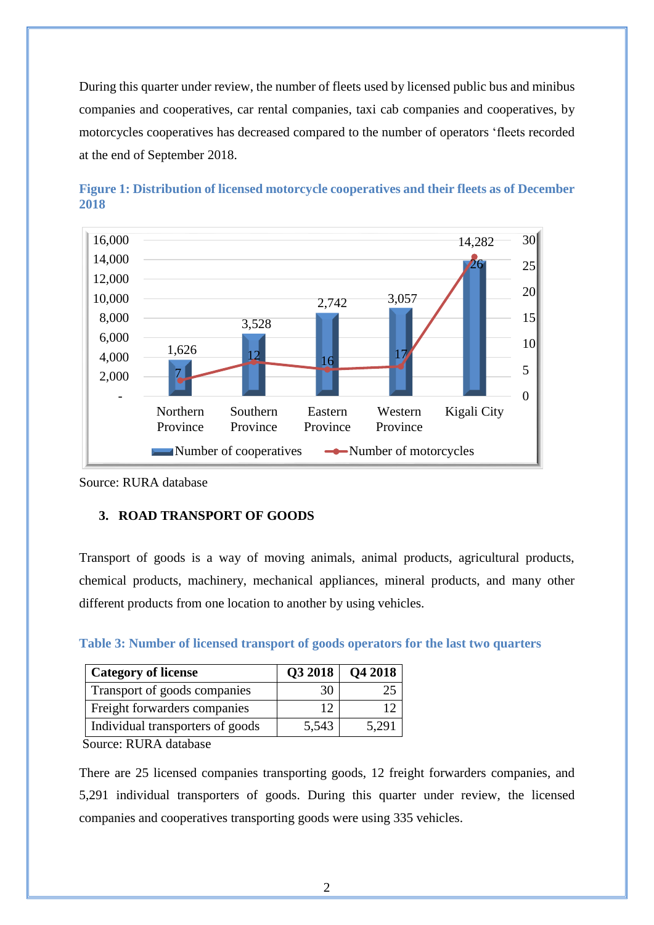During this quarter under review, the number of fleets used by licensed public bus and minibus companies and cooperatives, car rental companies, taxi cab companies and cooperatives, by motorcycles cooperatives has decreased compared to the number of operators 'fleets recorded at the end of September 2018.



<span id="page-3-2"></span>

Source: RURA database

#### <span id="page-3-0"></span>**3. ROAD TRANSPORT OF GOODS**

Transport of goods is a way of moving animals, animal products, agricultural products, chemical products, machinery, mechanical appliances, mineral products, and many other different products from one location to another by using vehicles.

| <b>Category of license</b>       | Q3 2018 | Q42018 |
|----------------------------------|---------|--------|
| Transport of goods companies     |         |        |
| Freight forwarders companies     |         |        |
| Individual transporters of goods | 5,543   | 5.291  |

<span id="page-3-1"></span>**Table 3: Number of licensed transport of goods operators for the last two quarters** 

Source: RURA database

There are 25 licensed companies transporting goods, 12 freight forwarders companies, and 5,291 individual transporters of goods. During this quarter under review, the licensed companies and cooperatives transporting goods were using 335 vehicles.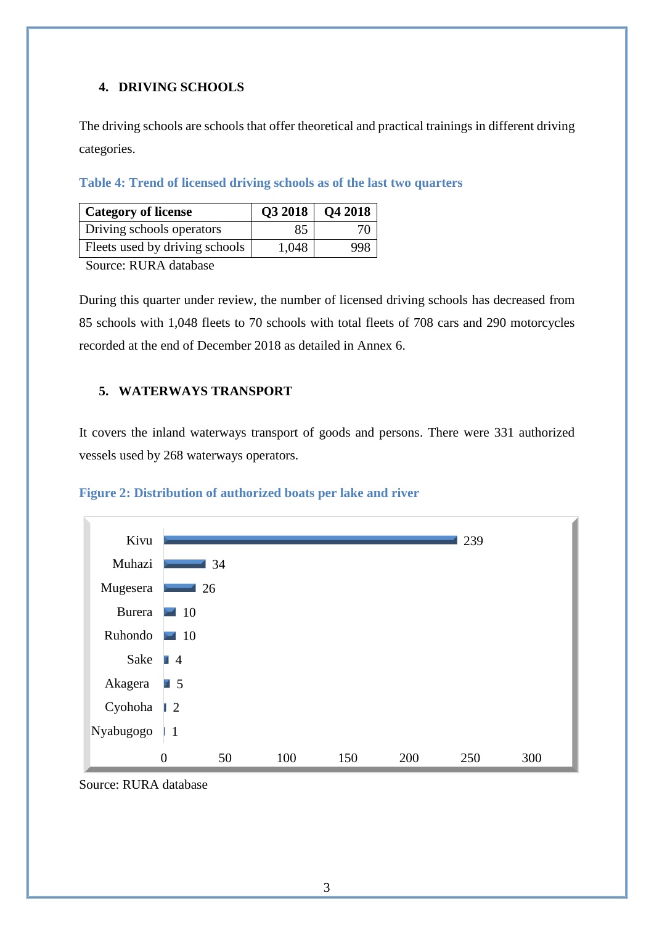### <span id="page-4-0"></span>**4. DRIVING SCHOOLS**

The driving schools are schools that offer theoretical and practical trainings in different driving categories.

#### <span id="page-4-2"></span>**Table 4: Trend of licensed driving schools as of the last two quarters**

| <b>Category of license</b>     |       | Q3 2018   Q4 2018 |
|--------------------------------|-------|-------------------|
| Driving schools operators      | 85    | 70                |
| Fleets used by driving schools | 1,048 | 998               |

Source: RURA database

During this quarter under review, the number of licensed driving schools has decreased from 85 schools with 1,048 fleets to 70 schools with total fleets of 708 cars and 290 motorcycles recorded at the end of December 2018 as detailed in Annex 6.

### <span id="page-4-1"></span>**5. WATERWAYS TRANSPORT**

It covers the inland waterways transport of goods and persons. There were 331 authorized vessels used by 268 waterways operators.



### <span id="page-4-3"></span>**Figure 2: Distribution of authorized boats per lake and river**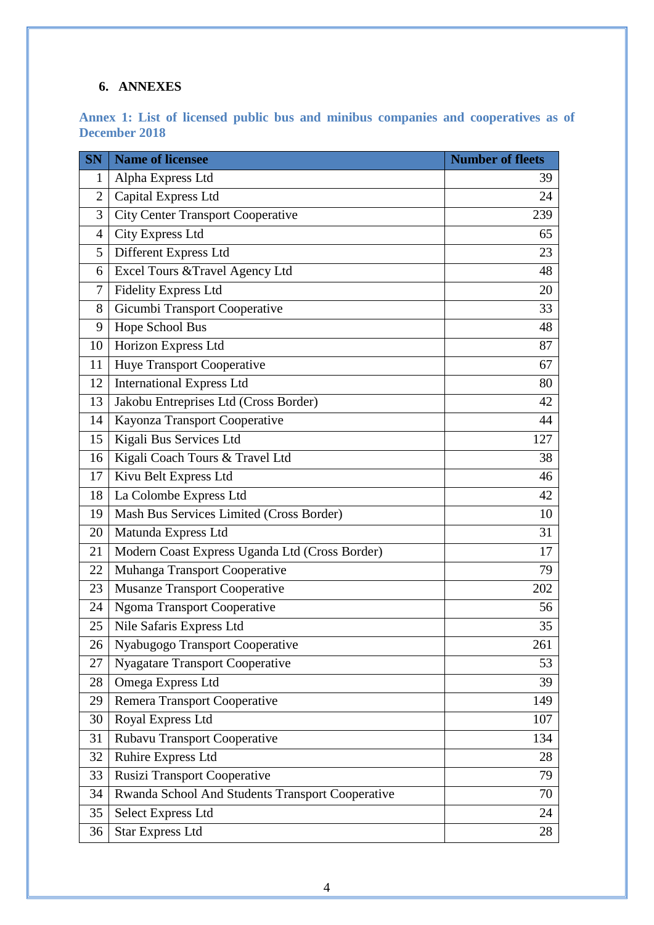## **6. ANNEXES**

<span id="page-5-0"></span>

|                      |  |  |  |  |  | Annex 1: List of licensed public bus and minibus companies and cooperatives as of |  |
|----------------------|--|--|--|--|--|-----------------------------------------------------------------------------------|--|
| <b>December 2018</b> |  |  |  |  |  |                                                                                   |  |

| <b>SN</b>      | <b>Name of licensee</b>                          | <b>Number of fleets</b> |
|----------------|--------------------------------------------------|-------------------------|
| 1              | Alpha Express Ltd                                | 39                      |
| $\overline{2}$ | Capital Express Ltd                              | 24                      |
| 3              | <b>City Center Transport Cooperative</b>         | 239                     |
| 4              | City Express Ltd                                 | 65                      |
| 5              | Different Express Ltd                            | 23                      |
| 6              | Excel Tours & Travel Agency Ltd                  | 48                      |
| 7              | <b>Fidelity Express Ltd</b>                      | 20                      |
| 8              | Gicumbi Transport Cooperative                    | 33                      |
| 9              | Hope School Bus                                  | 48                      |
| 10             | Horizon Express Ltd                              | 87                      |
| 11             | <b>Huye Transport Cooperative</b>                | 67                      |
| 12             | <b>International Express Ltd</b>                 | 80                      |
| 13             | Jakobu Entreprises Ltd (Cross Border)            | 42                      |
| 14             | Kayonza Transport Cooperative                    | 44                      |
| 15             | Kigali Bus Services Ltd                          | 127                     |
| 16             | Kigali Coach Tours & Travel Ltd                  | 38                      |
| 17             | Kivu Belt Express Ltd                            | 46                      |
| 18             | La Colombe Express Ltd                           | 42                      |
| 19             | Mash Bus Services Limited (Cross Border)         | 10                      |
| 20             | Matunda Express Ltd                              | 31                      |
| 21             | Modern Coast Express Uganda Ltd (Cross Border)   | 17                      |
| 22             | Muhanga Transport Cooperative                    | 79                      |
| 23             | <b>Musanze Transport Cooperative</b>             | 202                     |
| 24             | <b>Ngoma Transport Cooperative</b>               | 56                      |
| 25             | Nile Safaris Express Ltd                         | 35                      |
| 26             | Nyabugogo Transport Cooperative                  | 261                     |
| 27             | <b>Nyagatare Transport Cooperative</b>           | 53                      |
| 28             | Omega Express Ltd                                | 39                      |
| 29             | Remera Transport Cooperative                     | 149                     |
| 30             | Royal Express Ltd                                | 107                     |
| 31             | Rubavu Transport Cooperative                     | 134                     |
| 32             | Ruhire Express Ltd                               | 28                      |
| 33             | <b>Rusizi Transport Cooperative</b>              | 79                      |
| 34             | Rwanda School And Students Transport Cooperative | 70                      |
| 35             | <b>Select Express Ltd</b>                        | 24                      |
| 36             | <b>Star Express Ltd</b>                          | 28                      |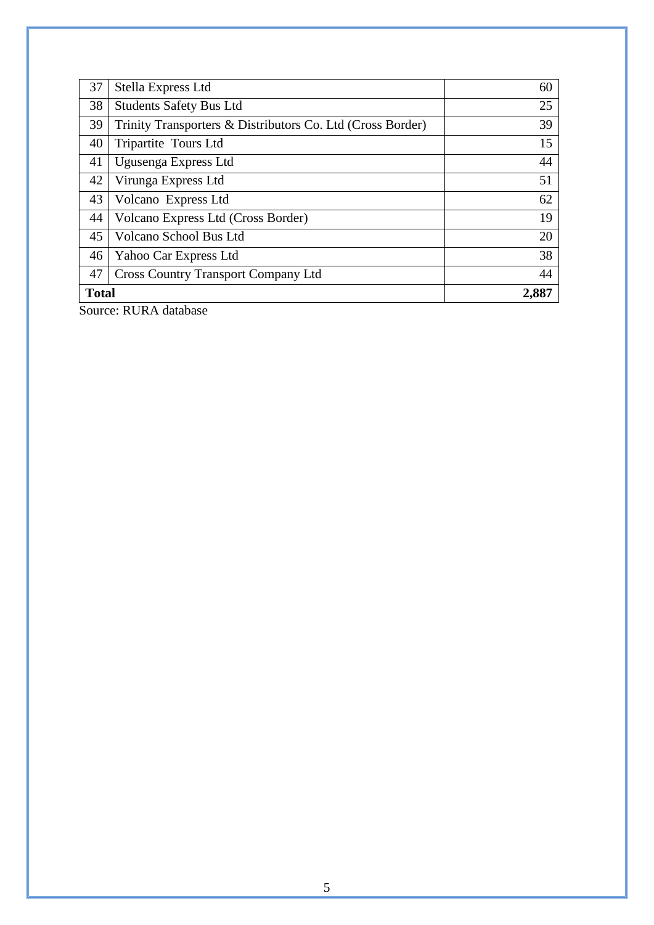| 37                    | Stella Express Ltd                                         | 60 |  |  |
|-----------------------|------------------------------------------------------------|----|--|--|
| 38                    | <b>Students Safety Bus Ltd</b>                             | 25 |  |  |
| 39                    | Trinity Transporters & Distributors Co. Ltd (Cross Border) | 39 |  |  |
| 40                    | Tripartite Tours Ltd                                       | 15 |  |  |
| 41                    | Ugusenga Express Ltd                                       | 44 |  |  |
| 42                    | Virunga Express Ltd                                        | 51 |  |  |
| 43                    | Volcano Express Ltd                                        | 62 |  |  |
| 44                    | Volcano Express Ltd (Cross Border)                         | 19 |  |  |
| 45                    | Volcano School Bus Ltd                                     | 20 |  |  |
| 46                    | Yahoo Car Express Ltd                                      | 38 |  |  |
| 47                    | <b>Cross Country Transport Company Ltd</b>                 | 44 |  |  |
| 2,887<br><b>Total</b> |                                                            |    |  |  |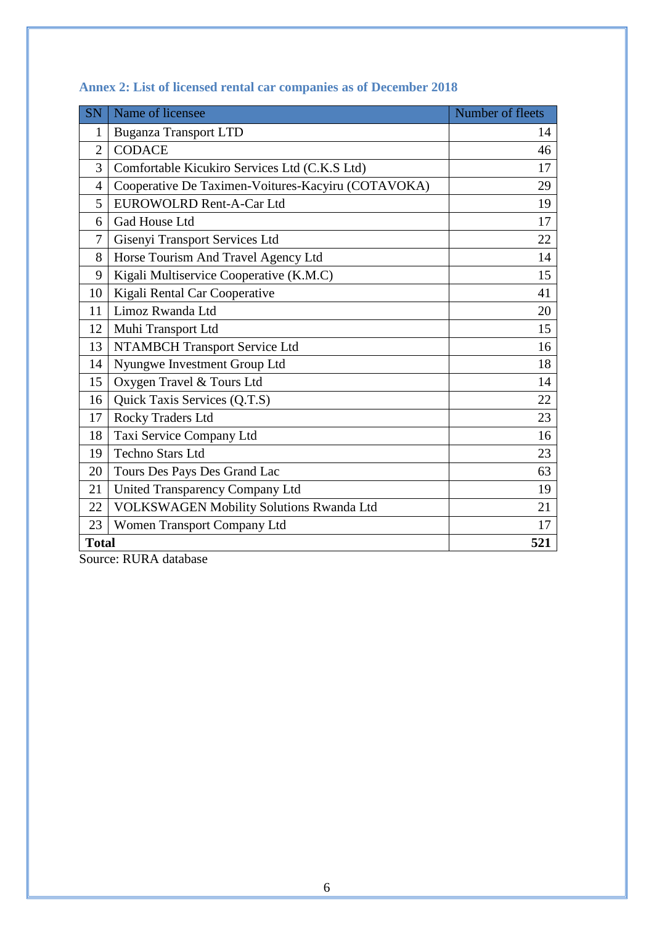<span id="page-7-1"></span>

| <b>SN</b>      | Name of licensee                                   | Number of fleets |
|----------------|----------------------------------------------------|------------------|
| 1              | <b>Buganza Transport LTD</b>                       | 14               |
| $\overline{2}$ | <b>CODACE</b>                                      | 46               |
| 3              | Comfortable Kicukiro Services Ltd (C.K.S Ltd)      | 17               |
| $\overline{4}$ | Cooperative De Taximen-Voitures-Kacyiru (COTAVOKA) | 29               |
| 5              | <b>EUROWOLRD Rent-A-Car Ltd</b>                    | 19               |
| 6              | Gad House Ltd                                      | 17               |
| $\overline{7}$ | Gisenyi Transport Services Ltd                     | 22               |
| 8              | Horse Tourism And Travel Agency Ltd                | 14               |
| 9              | Kigali Multiservice Cooperative (K.M.C)            | 15               |
| 10             | Kigali Rental Car Cooperative                      | 41               |
| 11             | Limoz Rwanda Ltd                                   | 20               |
| 12             | Muhi Transport Ltd                                 | 15               |
| 13             | NTAMBCH Transport Service Ltd                      | 16               |
| 14             | Nyungwe Investment Group Ltd                       | 18               |
| 15             | Oxygen Travel & Tours Ltd                          | 14               |
| 16             | Quick Taxis Services (Q.T.S)                       | 22               |
| 17             | Rocky Traders Ltd                                  | 23               |
| 18             | Taxi Service Company Ltd                           | 16               |
| 19             | <b>Techno Stars Ltd</b>                            | 23               |
| 20             | Tours Des Pays Des Grand Lac                       | 63               |
| 21             | United Transparency Company Ltd                    | 19               |
| 22             | VOLKSWAGEN Mobility Solutions Rwanda Ltd           | 21               |
| 23             | Women Transport Company Ltd                        | 17               |
| <b>Total</b>   |                                                    | 521              |

## <span id="page-7-0"></span>**Annex 2: List of licensed rental car companies as of December 2018**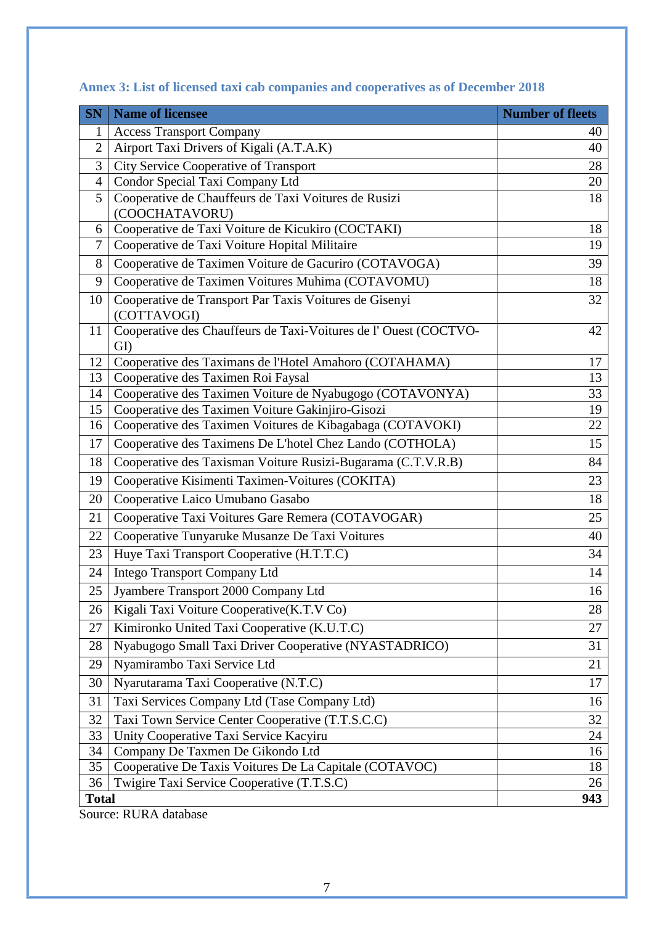| <b>SN</b>      | <b>Name of licensee</b>                                                | <b>Number of fleets</b> |
|----------------|------------------------------------------------------------------------|-------------------------|
| 1              | <b>Access Transport Company</b>                                        | 40                      |
| $\overline{2}$ | Airport Taxi Drivers of Kigali (A.T.A.K)                               | 40                      |
| 3              | <b>City Service Cooperative of Transport</b>                           | 28                      |
| $\overline{4}$ | Condor Special Taxi Company Ltd                                        | 20                      |
| 5              | Cooperative de Chauffeurs de Taxi Voitures de Rusizi                   | 18                      |
|                | (COOCHATAVORU)                                                         |                         |
| 6<br>7         | Cooperative de Taxi Voiture de Kicukiro (COCTAKI)                      | 18<br>19                |
| 8              | Cooperative de Taxi Voiture Hopital Militaire                          | 39                      |
|                | Cooperative de Taximen Voiture de Gacuriro (COTAVOGA)                  |                         |
| 9              | Cooperative de Taximen Voitures Muhima (COTAVOMU)                      | 18                      |
| 10             | Cooperative de Transport Par Taxis Voitures de Gisenyi<br>(COTTAVOGI)  | 32                      |
| 11             | Cooperative des Chauffeurs de Taxi-Voitures de l'Ouest (COCTVO-<br>GI) | 42                      |
| 12             | Cooperative des Taximans de l'Hotel Amahoro (COTAHAMA)                 | 17                      |
| 13             | Cooperative des Taximen Roi Faysal                                     | 13                      |
| 14             | Cooperative des Taximen Voiture de Nyabugogo (COTAVONYA)               | 33                      |
| 15             | Cooperative des Taximen Voiture Gakinjiro-Gisozi                       | 19                      |
| 16             | Cooperative des Taximen Voitures de Kibagabaga (COTAVOKI)              | 22                      |
| 17             | Cooperative des Taximens De L'hotel Chez Lando (COTHOLA)               | 15                      |
| 18             | Cooperative des Taxisman Voiture Rusizi-Bugarama (C.T.V.R.B)           | 84                      |
| 19             | Cooperative Kisimenti Taximen-Voitures (COKITA)                        | 23                      |
| 20             | Cooperative Laico Umubano Gasabo                                       | 18                      |
| 21             | Cooperative Taxi Voitures Gare Remera (COTAVOGAR)                      | 25                      |
| 22             | Cooperative Tunyaruke Musanze De Taxi Voitures                         | 40                      |
| 23             | Huye Taxi Transport Cooperative (H.T.T.C)                              | 34                      |
| 24             | <b>Intego Transport Company Ltd</b>                                    | 14                      |
| 25             | Jyambere Transport 2000 Company Ltd                                    | 16                      |
| 26             | Kigali Taxi Voiture Cooperative(K.T.V Co)                              | 28                      |
| 27             | Kimironko United Taxi Cooperative (K.U.T.C)                            | 27                      |
| 28             | Nyabugogo Small Taxi Driver Cooperative (NYASTADRICO)                  | 31                      |
| 29             | Nyamirambo Taxi Service Ltd                                            | 21                      |
| 30             | Nyarutarama Taxi Cooperative (N.T.C)                                   | 17                      |
| 31             | Taxi Services Company Ltd (Tase Company Ltd)                           | 16                      |
| 32             | Taxi Town Service Center Cooperative (T.T.S.C.C)                       | 32                      |
| 33             | Unity Cooperative Taxi Service Kacyiru                                 | 24                      |
| 34             | Company De Taxmen De Gikondo Ltd                                       | 16                      |
| 35             | Cooperative De Taxis Voitures De La Capitale (COTAVOC)                 | 18                      |
| 36             | Twigire Taxi Service Cooperative (T.T.S.C)                             | 26                      |
| <b>Total</b>   |                                                                        | 943                     |

# **Annex 3: List of licensed taxi cab companies and cooperatives as of December 2018**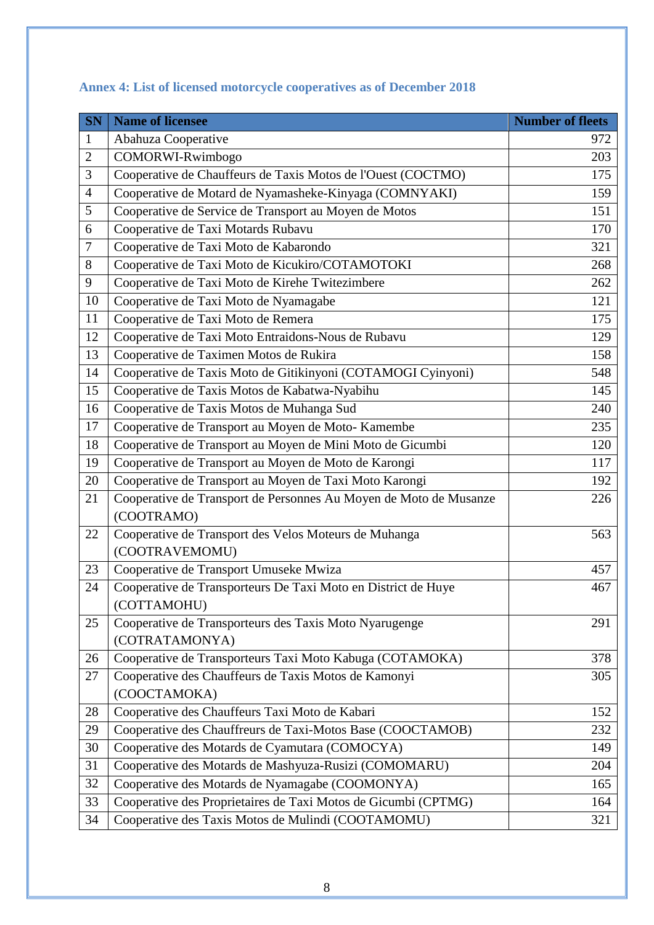| <b>SN</b>      | <b>Name of licensee</b>                                           | <b>Number of fleets</b> |
|----------------|-------------------------------------------------------------------|-------------------------|
| 1              | Abahuza Cooperative                                               | 972                     |
| $\overline{2}$ | COMORWI-Rwimbogo                                                  | 203                     |
| 3              | Cooperative de Chauffeurs de Taxis Motos de l'Ouest (COCTMO)      | 175                     |
| 4              | Cooperative de Motard de Nyamasheke-Kinyaga (COMNYAKI)            | 159                     |
| 5              | Cooperative de Service de Transport au Moyen de Motos             | 151                     |
| 6              | Cooperative de Taxi Motards Rubavu                                | 170                     |
| $\overline{7}$ | Cooperative de Taxi Moto de Kabarondo                             | 321                     |
| 8              | Cooperative de Taxi Moto de Kicukiro/COTAMOTOKI                   | 268                     |
| 9              | Cooperative de Taxi Moto de Kirehe Twitezimbere                   | 262                     |
| 10             | Cooperative de Taxi Moto de Nyamagabe                             | 121                     |
| 11             | Cooperative de Taxi Moto de Remera                                | 175                     |
| 12             | Cooperative de Taxi Moto Entraidons-Nous de Rubavu                | 129                     |
| 13             | Cooperative de Taximen Motos de Rukira                            | 158                     |
| 14             | Cooperative de Taxis Moto de Gitikinyoni (COTAMOGI Cyinyoni)      | 548                     |
| 15             | Cooperative de Taxis Motos de Kabatwa-Nyabihu                     | 145                     |
| 16             | Cooperative de Taxis Motos de Muhanga Sud                         | 240                     |
| 17             | Cooperative de Transport au Moyen de Moto-Kamembe                 | 235                     |
| 18             | Cooperative de Transport au Moyen de Mini Moto de Gicumbi         | 120                     |
| 19             | Cooperative de Transport au Moyen de Moto de Karongi              | 117                     |
| 20             | Cooperative de Transport au Moyen de Taxi Moto Karongi            | 192                     |
| 21             | Cooperative de Transport de Personnes Au Moyen de Moto de Musanze | 226                     |
|                | (COOTRAMO)                                                        |                         |
| 22             | Cooperative de Transport des Velos Moteurs de Muhanga             | 563                     |
|                | (COOTRAVEMOMU)                                                    |                         |
| 23             | Cooperative de Transport Umuseke Mwiza                            | 457                     |
| 24             | Cooperative de Transporteurs De Taxi Moto en District de Huye     | 467                     |
|                | (COTTAMOHU)                                                       |                         |
| 25             | Cooperative de Transporteurs des Taxis Moto Nyarugenge            | 291                     |
|                | (COTRATAMONYA)                                                    |                         |
| 26             | Cooperative de Transporteurs Taxi Moto Kabuga (COTAMOKA)          | 378                     |
| 27             | Cooperative des Chauffeurs de Taxis Motos de Kamonyi              | 305                     |
|                | (COOCTAMOKA)                                                      |                         |
| 28             | Cooperative des Chauffeurs Taxi Moto de Kabari                    | 152                     |
| 29             | Cooperative des Chauffreurs de Taxi-Motos Base (COOCTAMOB)        | 232                     |
| 30             | Cooperative des Motards de Cyamutara (COMOCYA)                    | 149                     |
| 31             | Cooperative des Motards de Mashyuza-Rusizi (COMOMARU)             | 204                     |
| 32             | Cooperative des Motards de Nyamagabe (COOMONYA)                   | 165                     |
| 33             | Cooperative des Proprietaires de Taxi Motos de Gicumbi (CPTMG)    | 164                     |
| 34             | Cooperative des Taxis Motos de Mulindi (COOTAMOMU)                | 321                     |

# <span id="page-9-0"></span>**Annex 4: List of licensed motorcycle cooperatives as of December 2018**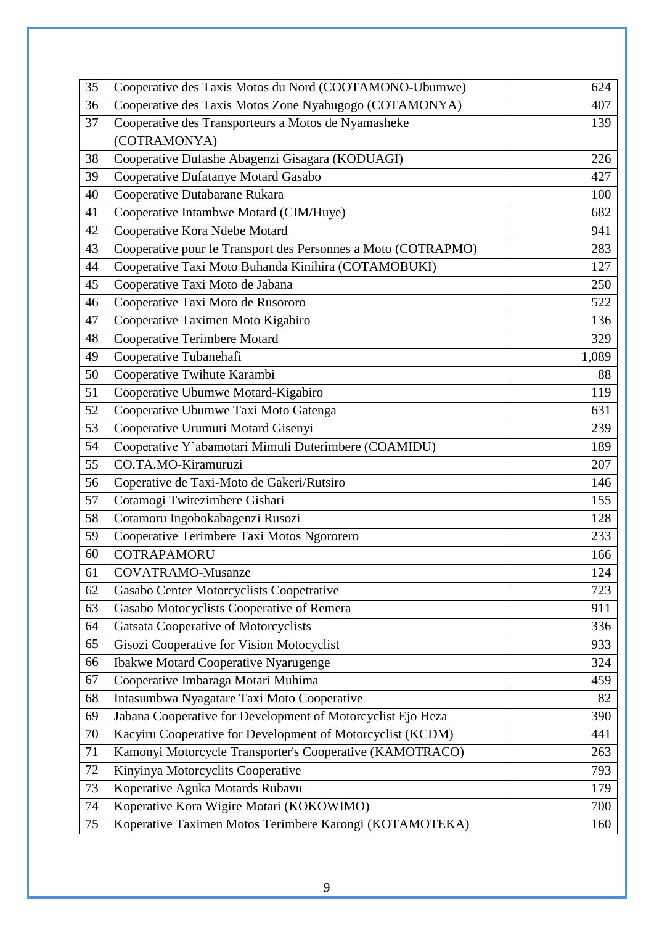| 35 | Cooperative des Taxis Motos du Nord (COOTAMONO-Ubumwe)        | 624   |
|----|---------------------------------------------------------------|-------|
| 36 | Cooperative des Taxis Motos Zone Nyabugogo (COTAMONYA)        | 407   |
| 37 | Cooperative des Transporteurs a Motos de Nyamasheke           | 139   |
|    | (COTRAMONYA)                                                  |       |
| 38 | Cooperative Dufashe Abagenzi Gisagara (KODUAGI)               | 226   |
| 39 | Cooperative Dufatanye Motard Gasabo                           | 427   |
| 40 | Cooperative Dutabarane Rukara                                 | 100   |
| 41 | Cooperative Intambwe Motard (CIM/Huye)                        | 682   |
| 42 | Cooperative Kora Ndebe Motard                                 | 941   |
| 43 | Cooperative pour le Transport des Personnes a Moto (COTRAPMO) | 283   |
| 44 | Cooperative Taxi Moto Buhanda Kinihira (COTAMOBUKI)           | 127   |
| 45 | Cooperative Taxi Moto de Jabana                               | 250   |
| 46 | Cooperative Taxi Moto de Rusororo                             | 522   |
| 47 | Cooperative Taximen Moto Kigabiro                             | 136   |
| 48 | <b>Cooperative Terimbere Motard</b>                           | 329   |
| 49 | Cooperative Tubanehafi                                        | 1,089 |
| 50 | Cooperative Twihute Karambi                                   | 88    |
| 51 | Cooperative Ubumwe Motard-Kigabiro                            | 119   |
| 52 | Cooperative Ubumwe Taxi Moto Gatenga                          | 631   |
| 53 | Cooperative Urumuri Motard Gisenyi                            | 239   |
| 54 | Cooperative Y'abamotari Mimuli Duterimbere (COAMIDU)          | 189   |
| 55 | CO.TA.MO-Kiramuruzi                                           | 207   |
| 56 | Coperative de Taxi-Moto de Gakeri/Rutsiro                     | 146   |
| 57 | Cotamogi Twitezimbere Gishari                                 | 155   |
| 58 | Cotamoru Ingobokabagenzi Rusozi                               | 128   |
| 59 | Cooperative Terimbere Taxi Motos Ngororero                    | 233   |
| 60 | <b>COTRAPAMORU</b>                                            | 166   |
| 61 | <b>COVATRAMO-Musanze</b>                                      | 124   |
| 62 | Gasabo Center Motorcyclists Coopetrative                      | 723   |
| 63 | Gasabo Motocyclists Cooperative of Remera                     | 911   |
| 64 | Gatsata Cooperative of Motorcyclists                          | 336   |
| 65 | Gisozi Cooperative for Vision Motocyclist                     | 933   |
| 66 | <b>Ibakwe Motard Cooperative Nyarugenge</b>                   | 324   |
| 67 | Cooperative Imbaraga Motari Muhima                            | 459   |
| 68 | Intasumbwa Nyagatare Taxi Moto Cooperative                    | 82    |
| 69 | Jabana Cooperative for Development of Motorcyclist Ejo Heza   | 390   |
| 70 | Kacyiru Cooperative for Development of Motorcyclist (KCDM)    | 441   |
| 71 | Kamonyi Motorcycle Transporter's Cooperative (KAMOTRACO)      | 263   |
| 72 | Kinyinya Motorcyclits Cooperative                             | 793   |
| 73 | Koperative Aguka Motards Rubavu                               | 179   |
| 74 | Koperative Kora Wigire Motari (KOKOWIMO)                      | 700   |
| 75 | Koperative Taximen Motos Terimbere Karongi (KOTAMOTEKA)       | 160   |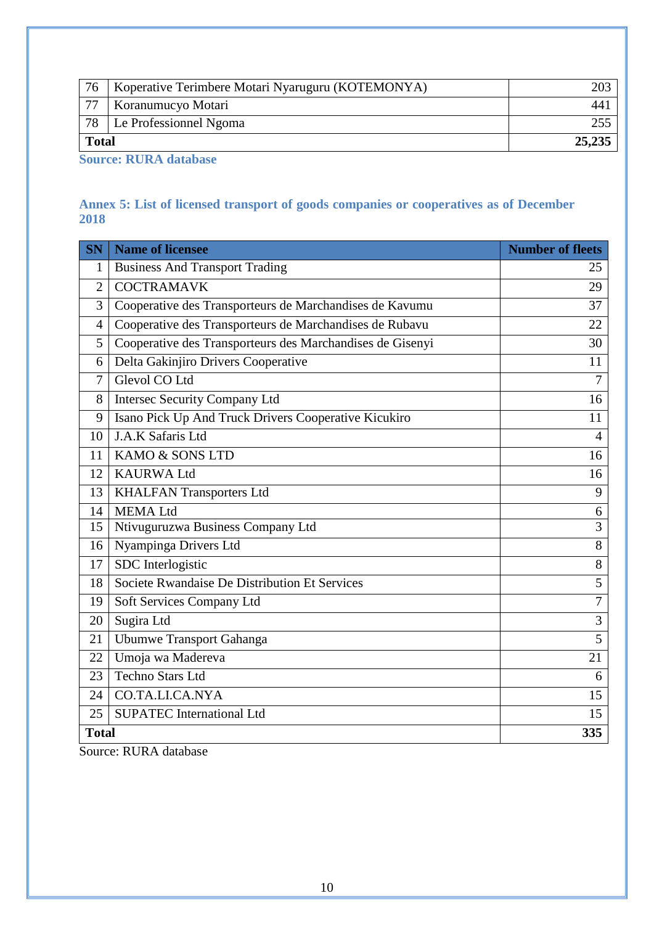| 76           | Koperative Terimbere Motari Nyaruguru (KOTEMONYA) |        |
|--------------|---------------------------------------------------|--------|
| 77           | Koranumucyo Motari                                | 44     |
| 78           | Le Professionnel Ngoma                            |        |
| <b>Total</b> |                                                   | 25,235 |

**Source: RURA database**

### <span id="page-11-0"></span>**Annex 5: List of licensed transport of goods companies or cooperatives as of December**

| <b>SN</b>      | <b>Name of licensee</b>                                   | <b>Number of fleets</b> |
|----------------|-----------------------------------------------------------|-------------------------|
| 1              | <b>Business And Transport Trading</b>                     | 25                      |
| $\overline{2}$ | <b>COCTRAMAVK</b>                                         | 29                      |
| 3              | Cooperative des Transporteurs de Marchandises de Kavumu   | 37                      |
| $\overline{4}$ | Cooperative des Transporteurs de Marchandises de Rubavu   | 22                      |
| 5              | Cooperative des Transporteurs des Marchandises de Gisenyi | 30                      |
| 6              | Delta Gakinjiro Drivers Cooperative                       | 11                      |
| $\overline{7}$ | Glevol CO Ltd                                             | $\overline{7}$          |
| 8              | <b>Intersec Security Company Ltd</b>                      | 16                      |
| 9              | Isano Pick Up And Truck Drivers Cooperative Kicukiro      | 11                      |
| 10             | J.A.K Safaris Ltd                                         | 4                       |
| 11             | KAMO & SONS LTD                                           | 16                      |
| 12             | <b>KAURWA Ltd</b>                                         | 16                      |
| 13             | <b>KHALFAN Transporters Ltd</b>                           | 9                       |
| 14             | <b>MEMALtd</b>                                            | 6                       |
| 15             | Ntivuguruzwa Business Company Ltd                         | 3                       |
| 16             | Nyampinga Drivers Ltd                                     | 8                       |
| 17             | SDC Interlogistic                                         | $8\,$                   |
| 18             | Societe Rwandaise De Distribution Et Services             | $\overline{5}$          |
| 19             | Soft Services Company Ltd                                 | $\overline{7}$          |
| 20             | Sugira Ltd                                                | 3                       |
| 21             | <b>Ubumwe Transport Gahanga</b>                           | $\overline{5}$          |
| 22             | Umoja wa Madereva                                         | 21                      |
| 23             | Techno Stars Ltd                                          | 6                       |
| 24             | CO.TA.LI.CA.NYA                                           | 15                      |
| 25             | <b>SUPATEC</b> International Ltd                          | 15                      |
| <b>Total</b>   |                                                           | 335                     |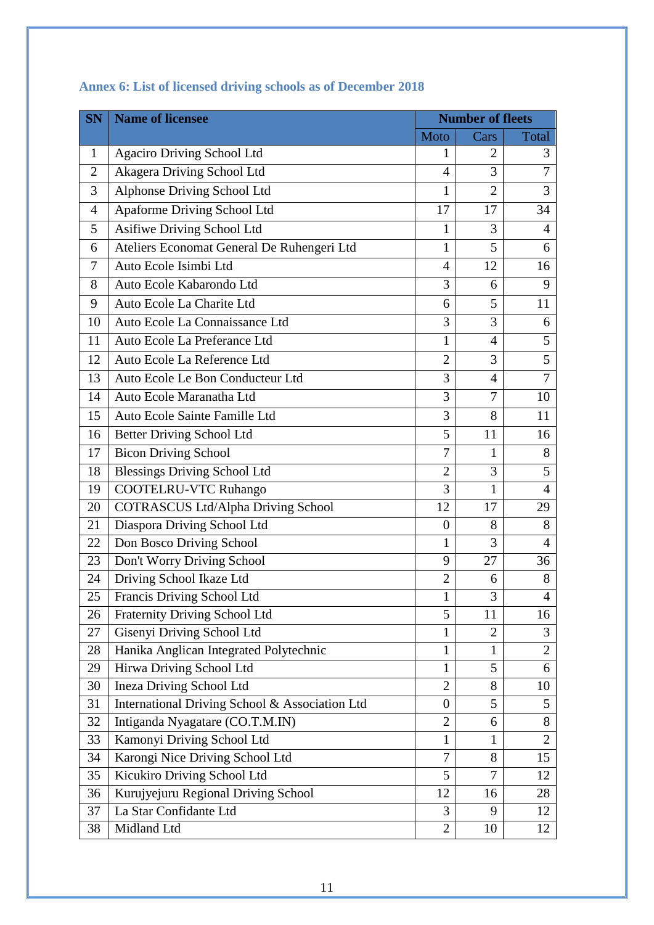| <b>SN</b>      | <b>Name of licensee</b>                        | <b>Number of fleets</b> |                |                |
|----------------|------------------------------------------------|-------------------------|----------------|----------------|
|                |                                                | Moto                    | Cars           | Total          |
| $\mathbf{1}$   | <b>Agaciro Driving School Ltd</b>              | 1                       | 2              | 3              |
| $\overline{2}$ | Akagera Driving School Ltd                     | $\overline{4}$          | 3              | $\overline{7}$ |
| 3              | <b>Alphonse Driving School Ltd</b>             | 1                       | $\overline{2}$ | 3              |
| 4              | Apaforme Driving School Ltd                    | 17                      | 17             | 34             |
| 5              | Asifiwe Driving School Ltd                     | 1                       | 3              | $\overline{4}$ |
| 6              | Ateliers Economat General De Ruhengeri Ltd     | $\mathbf{1}$            | 5              | 6              |
| 7              | Auto Ecole Isimbi Ltd                          | $\overline{4}$          | 12             | 16             |
| 8              | Auto Ecole Kabarondo Ltd                       | 3                       | 6              | 9              |
| 9              | Auto Ecole La Charite Ltd                      | 6                       | 5              | 11             |
| 10             | Auto Ecole La Connaissance Ltd                 | 3                       | 3              | 6              |
| 11             | Auto Ecole La Preferance Ltd                   | 1                       | $\overline{4}$ | 5              |
| 12             | Auto Ecole La Reference Ltd                    | $\overline{2}$          | 3              | 5              |
| 13             | Auto Ecole Le Bon Conducteur Ltd               | 3                       | $\overline{4}$ | $\overline{7}$ |
| 14             | Auto Ecole Maranatha Ltd                       | 3                       | $\overline{7}$ | 10             |
| 15             | Auto Ecole Sainte Famille Ltd                  | 3                       | 8              | 11             |
| 16             | Better Driving School Ltd                      | 5                       | 11             | 16             |
| 17             | <b>Bicon Driving School</b>                    | 7                       | 1              | 8              |
| 18             | <b>Blessings Driving School Ltd</b>            | $\overline{2}$          | 3              | 5              |
| 19             | <b>COOTELRU-VTC Ruhango</b>                    | 3                       | 1              | $\overline{4}$ |
| 20             | <b>COTRASCUS Ltd/Alpha Driving School</b>      | 12                      | 17             | 29             |
| 21             | Diaspora Driving School Ltd                    | $\overline{0}$          | 8              | 8              |
| 22             | Don Bosco Driving School                       | $\mathbf{1}$            | 3              | 4              |
| 23             | Don't Worry Driving School                     | 9                       | 27             | 36             |
| 24             | Driving School Ikaze Ltd                       | $\overline{2}$          | 6              | 8              |
| 25             | Francis Driving School Ltd                     | 1                       | 3              | $\overline{4}$ |
| 26             | Fraternity Driving School Ltd                  | 5                       | 11             | 16             |
| 27             | Gisenyi Driving School Ltd                     | 1                       | $\overline{2}$ | 3              |
| 28             | Hanika Anglican Integrated Polytechnic         | 1                       | 1              | 2              |
| 29             | Hirwa Driving School Ltd                       | $\mathbf{1}$            | 5              | 6              |
| 30             | <b>Ineza Driving School Ltd</b>                | $\overline{2}$          | 8              | 10             |
| 31             | International Driving School & Association Ltd | $\boldsymbol{0}$        | 5              | 5              |
| 32             | Intiganda Nyagatare (CO.T.M.IN)                | $\overline{2}$          | 6              | 8              |
| 33             | Kamonyi Driving School Ltd                     | $\mathbf{1}$            | 1              | $\overline{2}$ |
| 34             | Karongi Nice Driving School Ltd                | 7                       | 8              | 15             |
| 35             | Kicukiro Driving School Ltd                    | 5                       | 7              | 12             |
| 36             | Kurujyejuru Regional Driving School            | 12                      | 16             | 28             |
| 37             | La Star Confidante Ltd                         | 3                       | 9              | 12             |
| 38             | Midland Ltd                                    | $\overline{2}$          | 10             | 12             |

# <span id="page-12-0"></span>**Annex 6: List of licensed driving schools as of December 2018**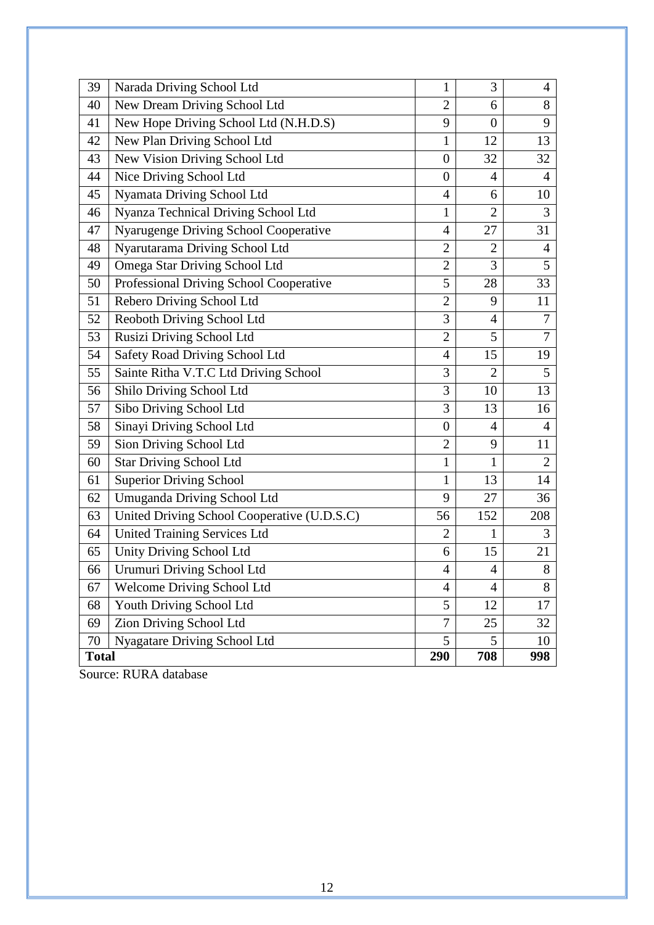| 39           | Narada Driving School Ltd                   | 1                | 3              | $\overline{4}$ |
|--------------|---------------------------------------------|------------------|----------------|----------------|
| 40           | New Dream Driving School Ltd                | $\overline{2}$   | 6              | 8              |
| 41           | New Hope Driving School Ltd (N.H.D.S)       | 9                | $\overline{0}$ | 9              |
| 42           | New Plan Driving School Ltd                 | 1                | 12             | 13             |
| 43           | New Vision Driving School Ltd               | $\overline{0}$   | 32             | 32             |
| 44           | Nice Driving School Ltd                     | $\theta$         | 4              | 4              |
| 45           | Nyamata Driving School Ltd                  | $\overline{4}$   | 6              | 10             |
| 46           | Nyanza Technical Driving School Ltd         | $\mathbf{1}$     | $\overline{2}$ | 3              |
| 47           | Nyarugenge Driving School Cooperative       | 4                | 27             | 31             |
| 48           | Nyarutarama Driving School Ltd              | $\overline{2}$   | $\overline{2}$ | $\overline{4}$ |
| 49           | Omega Star Driving School Ltd               | $\overline{2}$   | 3              | 5              |
| 50           | Professional Driving School Cooperative     | 5                | 28             | 33             |
| 51           | Rebero Driving School Ltd                   | $\overline{2}$   | 9              | 11             |
| 52           | Reoboth Driving School Ltd                  | 3                | 4              | 7              |
| 53           | Rusizi Driving School Ltd                   | $\overline{2}$   | 5              | 7              |
| 54           | Safety Road Driving School Ltd              | $\overline{4}$   | 15             | 19             |
| 55           | Sainte Ritha V.T.C Ltd Driving School       | 3                | $\overline{2}$ | 5              |
| 56           | Shilo Driving School Ltd                    | 3                | 10             | 13             |
| 57           | Sibo Driving School Ltd                     | 3                | 13             | 16             |
| 58           | Sinayi Driving School Ltd                   | $\boldsymbol{0}$ | 4              | 4              |
| 59           | Sion Driving School Ltd                     | $\overline{2}$   | 9              | 11             |
| 60           | <b>Star Driving School Ltd</b>              | $\mathbf{1}$     | $\mathbf{1}$   | $\overline{2}$ |
| 61           | <b>Superior Driving School</b>              | $\mathbf{1}$     | 13             | 14             |
| 62           | Umuganda Driving School Ltd                 | 9                | 27             | 36             |
| 63           | United Driving School Cooperative (U.D.S.C) | 56               | 152            | 208            |
| 64           | <b>United Training Services Ltd</b>         | $\overline{2}$   | 1              | 3              |
| 65           | Unity Driving School Ltd                    | 6                | 15             | 21             |
| 66           | Urumuri Driving School Ltd                  | 4                | 4              | $8\,$          |
| 67           | <b>Welcome Driving School Ltd</b>           | $\overline{4}$   | $\overline{4}$ | 8              |
| 68           | Youth Driving School Ltd                    | 5                | 12             | 17             |
| 69           | Zion Driving School Ltd                     | 7                | 25             | 32             |
| 70           | Nyagatare Driving School Ltd                | 5                | 5              | 10             |
| <b>Total</b> |                                             | 290              | 708            | 998            |